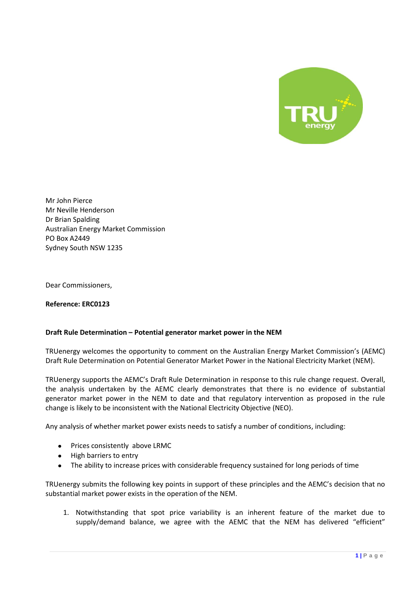

Mr John Pierce Mr Neville Henderson Dr Brian Spalding Australian Energy Market Commission PO Box A2449 Sydney South NSW 1235

Dear Commissioners,

**Reference: ERC0123**

## **Draft Rule Determination – Potential generator market power in the NEM**

TRUenergy welcomes the opportunity to comment on the Australian Energy Market Commission's (AEMC) Draft Rule Determination on Potential Generator Market Power in the National Electricity Market (NEM).

TRUenergy supports the AEMC's Draft Rule Determination in response to this rule change request. Overall, the analysis undertaken by the AEMC clearly demonstrates that there is no evidence of substantial generator market power in the NEM to date and that regulatory intervention as proposed in the rule change is likely to be inconsistent with the National Electricity Objective (NEO).

Any analysis of whether market power exists needs to satisfy a number of conditions, including:

- Prices consistently above LRMC
- High barriers to entry
- The ability to increase prices with considerable frequency sustained for long periods of time

TRUenergy submits the following key points in support of these principles and the AEMC's decision that no substantial market power exists in the operation of the NEM.

1. Notwithstanding that spot price variability is an inherent feature of the market due to supply/demand balance, we agree with the AEMC that the NEM has delivered "efficient"